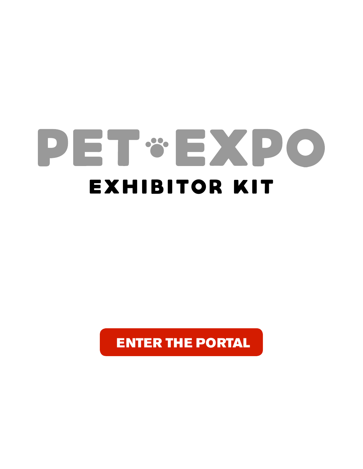# PET & EXPO EXHIBITOR Kit

[ENTER THE PORTAL](http://peteventproductions.com/welcome/)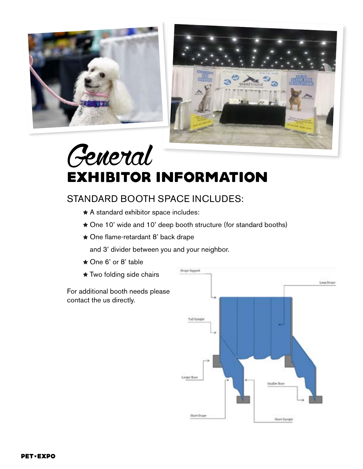



# General EXHIBITOR INFORMATION

## STANDARD BOOTH SPACE INCLUDES:

- A standard exhibitor space includes:
- ★ One 10' wide and 10' deep booth structure (for standard booths)
- One flame-retardant 8' back drape

and 3' divider between you and your neighbor.

- ★ One 6' or 8' table
- **★ Two folding side chairs**

For additional booth needs please contact the us directly.

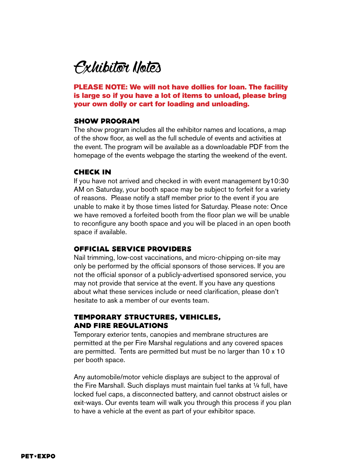Exhibitor Notes

PLEASE NOTE: We will not have dollies for loan. The facility is large so if you have a lot of items to unload, please bring your own dolly or cart for loading and unloading.

#### SHOW PROGRAM

The show program includes all the exhibitor names and locations, a map of the show floor, as well as the full schedule of events and activities at the event. The program will be available as a downloadable PDF from the homepage of the events webpage the starting the weekend of the event.

#### Check In

If you have not arrived and checked in with event management by10:30 AM on Saturday, your booth space may be subject to forfeit for a variety of reasons. Please notify a staff member prior to the event if you are unable to make it by those times listed for Saturday. Please note: Once we have removed a forfeited booth from the floor plan we will be unable to reconfigure any booth space and you will be placed in an open booth space if available.

#### OFFICIAL SERVICE PROVIDERS

Nail trimming, low-cost vaccinations, and micro-chipping on-site may only be performed by the official sponsors of those services. If you are not the official sponsor of a publicly-advertised sponsored service, you may not provide that service at the event. If you have any questions about what these services include or need clarification, please don't hesitate to ask a member of our events team.

#### TEMPORARY STRUCTURES, VEHICLES, AND FIRE REGULATIONS

Temporary exterior tents, canopies and membrane structures are permitted at the per Fire Marshal regulations and any covered spaces are permitted. Tents are permitted but must be no larger than 10 x 10 per booth space.

Any automobile/motor vehicle displays are subject to the approval of the Fire Marshall. Such displays must maintain fuel tanks at ¼ full, have locked fuel caps, a disconnected battery, and cannot obstruct aisles or exit-ways. Our events team will walk you through this process if you plan to have a vehicle at the event as part of your exhibitor space.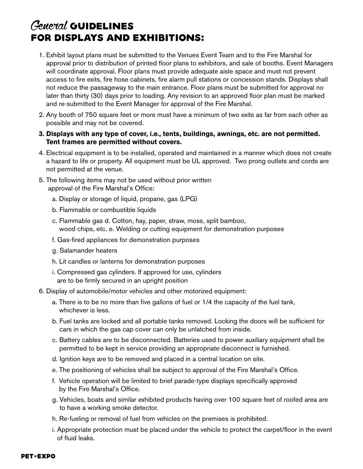# General GUIDELINES FOR DISPLAYS AND EXHIBITIONS:

- 1. Exhibit layout plans must be submitted to the Venues Event Team and to the Fire Marshal for approval prior to distribution of printed floor plans to exhibitors, and sale of booths. Event Managers will coordinate approval. Floor plans must provide adequate aisle space and must not prevent access to fire exits, fire hose cabinets, fire alarm pull stations or concession stands. Displays shall not reduce the passageway to the main entrance. Floor plans must be submitted for approval no later than thirty (30) days prior to loading. Any revision to an approved floor plan must be marked and re-submitted to the Event Manager for approval of the Fire Marshal.
- 2. Any booth of 750 square feet or more must have a minimum of two exits as far from each other as possible and may not be covered.
- **3. Displays with any type of cover, i.e., tents, buildings, awnings, etc. are not permitted. Tent frames are permitted without covers.**
- 4. Electrical equipment is to be installed, operated and maintained in a manner which does not create a hazard to life or property. All equipment must be UL approved. Two prong outlets and cords are not permitted at the venue.
- 5. The following items may not be used without prior written approval of the Fire Marshal's Office:
	- a. Display or storage of liquid, propane, gas (LPG)
	- b. Flammable or combustible liquids
	- c. Flammable gas d. Cotton, hay, paper, straw, moss, split bamboo, wood chips, etc. e. Welding or cutting equipment for demonstration purposes
	- f. Gas-fired appliances for demonstration purposes
	- g. Salamander heaters
	- h. Lit candles or lanterns for demonstration purposes
	- i. Compressed gas cylinders. If approved for use, cylinders are to be firmly secured in an upright position
- 6. Display of automobile/motor vehicles and other motorized equipment:
	- a. There is to be no more than five gallons of fuel or 1/4 the capacity of the fuel tank, whichever is less.
	- b. Fuel tanks are locked and all portable tanks removed. Locking the doors will be sufficient for cars in which the gas cap cover can only be unlatched from inside.
	- c. Battery cables are to be disconnected. Batteries used to power auxiliary equipment shall be permitted to be kept in service providing an appropriate disconnect is furnished.
	- d. Ignition keys are to be removed and placed in a central location on site.
	- e. The positioning of vehicles shall be subject to approval of the Fire Marshal's Office.
	- f. Vehicle operation will be limited to brief parade-type displays specifically approved by the Fire Marshal's Office.
	- g. Vehicles, boats and similar exhibited products having over 100 square feet of roofed area are to have a working smoke detector.
	- h. Re-fueling or removal of fuel from vehicles on the premises is prohibited.
	- i. Appropriate protection must be placed under the vehicle to protect the carpet/floor in the event of fluid leaks.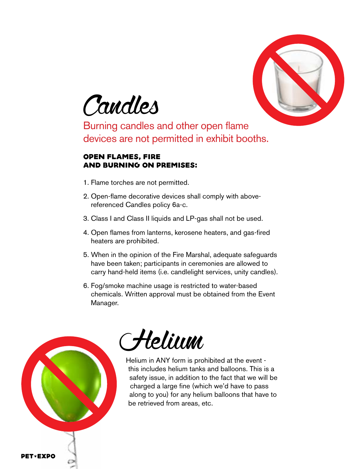



Burning candles and other open flame devices are not permitted in exhibit booths.

#### OPEN FLAMES, FIRE AND BURNING ON PREMISES:

- 1. Flame torches are not permitted.
- 2. Open-flame decorative devices shall comply with abovereferenced Candles policy 6a-c.
- 3. Class I and Class II liquids and LP-gas shall not be used.
- 4. Open flames from lanterns, kerosene heaters, and gas-fired heaters are prohibited.
- 5. When in the opinion of the Fire Marshal, adequate safeguards have been taken; participants in ceremonies are allowed to carry hand-held items (i.e. candlelight services, unity candles).
- 6. Fog/smoke machine usage is restricted to water-based chemicals. Written approval must be obtained from the Event Manager.





Helium in ANY form is prohibited at the event this includes helium tanks and balloons. This is a safety issue, in addition to the fact that we will be charged a large fine (which we'd have to pass along to you) for any helium balloons that have to be retrieved from areas, etc.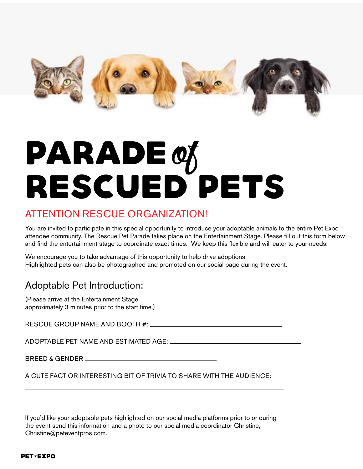

# PARADE of<br>RESCUED PETS

# ATTENTION RESCUE ORGANIZATION!

You are invited to participate in this special opportunity to introduce your adoptable animals to the entire Pet Expo attendee community. The Rescue Pet Parade takes place on the Entertainment Stage. Please fill out this form below and find the entertainment stage to coordinate exact times. We keep this flexible and will cater to your needs.

We encourage you to take advantage of this opportunity to help drive adoptions. Highlighted pets can also be photographed and promoted on our social page during the event.

# Adoptable Pet Introduction:

(Please arrive at the Entertainment Stage approximately 3 minutes prior to the start time.)

RESCUE GROUP NAME AND BOOTH #:

ADOPTABLE PET NAME AND ESTIMATED AGE:

BREED & GENDER

A CUTE FACT OR INTERESTING BIT OF TRIVIA TO SHARE WITH THE AUDIENCE:

If you'd like your adoptable pets highlighted on our social media platforms prior to or during the event send this information and a photo to our social media coordinator Christine, Christine@peteventpros.com.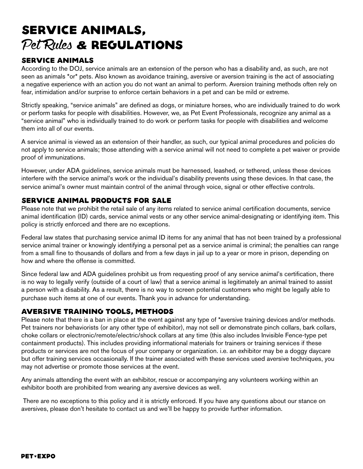# SERVICE ANIMALS, Pet Rules **&** REGULATIONS

#### SERVICE ANIMALS

According to the DOJ, service animals are an extension of the person who has a disability and, as such, are not seen as animals \*or\* pets. Also known as avoidance training, aversive or aversion training is the act of associating a negative experience with an action you do not want an animal to perform. Aversion training methods often rely on fear, intimidation and/or surprise to enforce certain behaviors in a pet and can be mild or extreme.

Strictly speaking, "service animals" are defined as dogs, or miniature horses, who are individually trained to do work or perform tasks for people with disabilities. However, we, as Pet Event Professionals, recognize any animal as a "service animal" who is individually trained to do work or perform tasks for people with disabilities and welcome them into all of our events.

A service animal is viewed as an extension of their handler, as such, our typical animal procedures and policies do not apply to service animals; those attending with a service animal will not need to complete a pet waiver or provide proof of immunizations.

However, under ADA guidelines, service animals must be harnessed, leashed, or tethered, unless these devices interfere with the service animal's work or the individual's disability prevents using these devices. In that case, the service animal's owner must maintain control of the animal through voice, signal or other effective controls.

#### SERVICE ANIMAL PRODUCTS FOR SALE

Please note that we prohibit the retail sale of any items related to service animal certification documents, service animal identification (ID) cards, service animal vests or any other service animal-designating or identifying item. This policy is strictly enforced and there are no exceptions.

Federal law states that purchasing service animal ID items for any animal that has not been trained by a professional service animal trainer or knowingly identifying a personal pet as a service animal is criminal; the penalties can range from a small fine to thousands of dollars and from a few days in jail up to a year or more in prison, depending on how and where the offense is committed.

Since federal law and ADA guidelines prohibit us from requesting proof of any service animal's certification, there is no way to legally verify (outside of a court of law) that a service animal is legitimately an animal trained to assist a person with a disability. As a result, there is no way to screen potential customers who might be legally able to purchase such items at one of our events. Thank you in advance for understanding.

#### AVERSIVE TRAINING TOOLS, METHODS

Please note that there is a ban in place at the event against any type of \*aversive training devices and/or methods. Pet trainers nor behaviorists (or any other type of exhibitor), may not sell or demonstrate pinch collars, bark collars, choke collars or electronic/remote/electric/shock collars at any time (this also includes Invisible Fence-type pet containment products). This includes providing informational materials for trainers or training services if these products or services are not the focus of your company or organization. i.e. an exhibitor may be a doggy daycare but offer training services occasionally. If the trainer associated with these services used aversive techniques, you may not advertise or promote those services at the event.

Any animals attending the event with an exhibitor, rescue or accompanying any volunteers working within an exhibitor booth are prohibited from wearing any aversive devices as well.

 There are no exceptions to this policy and it is strictly enforced. If you have any questions about our stance on aversives, please don't hesitate to contact us and we'll be happy to provide further information.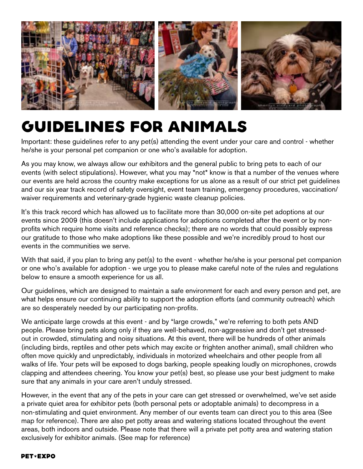

# GUIDELINES FOR ANIMALS

Important: these guidelines refer to any pet(s) attending the event under your care and control - whether he/she is your personal pet companion or one who's available for adoption.

As you may know, we always allow our exhibitors and the general public to bring pets to each of our events (with select stipulations). However, what you may \*not\* know is that a number of the venues where our events are held across the country make exceptions for us alone as a result of our strict pet guidelines and our six year track record of safety oversight, event team training, emergency procedures, vaccination/ waiver requirements and veterinary-grade hygienic waste cleanup policies.

It's this track record which has allowed us to facilitate more than 30,000 on-site pet adoptions at our events since 2009 (this doesn't include applications for adoptions completed after the event or by nonprofits which require home visits and reference checks); there are no words that could possibly express our gratitude to those who make adoptions like these possible and we're incredibly proud to host our events in the communities we serve.

With that said, if you plan to bring any pet(s) to the event - whether he/she is your personal pet companion or one who's available for adoption - we urge you to please make careful note of the rules and regulations below to ensure a smooth experience for us all.

Our guidelines, which are designed to maintain a safe environment for each and every person and pet, are what helps ensure our continuing ability to support the adoption efforts (and community outreach) which are so desperately needed by our participating non-profits.

We anticipate large crowds at this event - and by "large crowds," we're referring to both pets AND people. Please bring pets along only if they are well-behaved, non-aggressive and don't get stressedout in crowded, stimulating and noisy situations. At this event, there will be hundreds of other animals (including birds, reptiles and other pets which may excite or frighten another animal), small children who often move quickly and unpredictably, individuals in motorized wheelchairs and other people from all walks of life. Your pets will be exposed to dogs barking, people speaking loudly on microphones, crowds clapping and attendees cheering. You know your pet(s) best, so please use your best judgment to make sure that any animals in your care aren't unduly stressed.

However, in the event that any of the pets in your care can get stressed or overwhelmed, we've set aside a private quiet area for exhibitor pets (both personal pets or adoptable animals) to decompress in a non-stimulating and quiet environment. Any member of our events team can direct you to this area (See map for reference). There are also pet potty areas and watering stations located throughout the event areas, both indoors and outside. Please note that there will a private pet potty area and watering station exclusively for exhibitor animals. (See map for reference)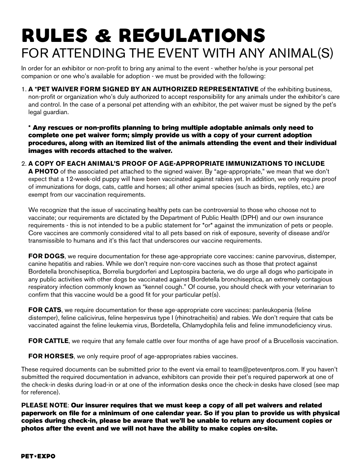# RULES **&** REGULATIONS FOR ATTENDING THE EVENT WITH ANY ANIMAL(S)

In order for an exhibitor or non-profit to bring any animal to the event - whether he/she is your personal pet companion or one who's available for adoption - we must be provided with the following:

1. **A \*PET WAIVER FORM SIGNED BY AN AUTHORIZED REPRESENTATIVE** of the exhibiting business, non-profit or organization who's duly authorized to accept responsibility for any animals under the exhibitor's care and control. In the case of a personal pet attending with an exhibitor, the pet waiver must be signed by the pet's legal guardian.

\* Any rescues or non-profits planning to bring multiple adoptable animals only need to complete one pet waiver form; simply provide us with a copy of your current adoption procedures, along with an itemized list of the animals attending the event and their individual images with records attached to the waiver.

2. **A COPY OF EACH ANIMAL'S PROOF OF AGE-APPROPRIATE IMMUNIZATIONS TO INCLUDE A PHOTO** of the associated pet attached to the signed waiver. By "age-appropriate," we mean that we don't expect that a 12-week-old puppy will have been vaccinated against rabies yet. In addition, we only require proof of immunizations for dogs, cats, cattle and horses; all other animal species (such as birds, reptiles, etc.) are

We recognize that the issue of vaccinating healthy pets can be controversial to those who choose not to vaccinate; our requirements are dictated by the Department of Public Health (DPH) and our own insurance requirements - this is not intended to be a public statement for \*or\* against the immunization of pets or people. Core vaccines are commonly considered vital to all pets based on risk of exposure, severity of disease and/or transmissible to humans and it's this fact that underscores our vaccine requirements.

**FOR DOGS**, we require documentation for these age-appropriate core vaccines: canine parvovirus, distemper, canine hepatitis and rabies. While we don't require non-core vaccines such as those that protect against Bordetella bronchiseptica, Borrelia burgdorferi and Leptospira bacteria, we do urge all dogs who participate in any public activities with other dogs be vaccinated against Bordetella bronchiseptica, an extremely contagious respiratory infection commonly known as "kennel cough." Of course, you should check with your veterinarian to confirm that this vaccine would be a good fit for your particular pet(s).

**FOR CATS**, we require documentation for these age-appropriate core vaccines: panleukopenia (feline distemper), feline calicivirus, feline herpesvirus type I (rhinotracheitis) and rabies. We don't require that cats be vaccinated against the feline leukemia virus, Bordetella, Chlamydophila felis and feline immunodeficiency virus.

**FOR CATTLE**, we require that any female cattle over four months of age have proof of a Brucellosis vaccination.

**FOR HORSES**, we only require proof of age-appropriates rabies vaccines.

exempt from our vaccination requirements.

These required documents can be submitted prior to the event via email to team@peteventpros.com. If you haven't submitted the required documentation in advance, exhibitors can provide their pet's required paperwork at one of the check-in desks during load-in or at one of the information desks once the check-in desks have closed (see map for reference).

**PLEASE NOTE**: Our insurer requires that we must keep a copy of all pet waivers and related paperwork on file for a minimum of one calendar year. So if you plan to provide us with physical copies during check-in, please be aware that we'll be unable to return any document copies or photos after the event and we will not have the ability to make copies on-site.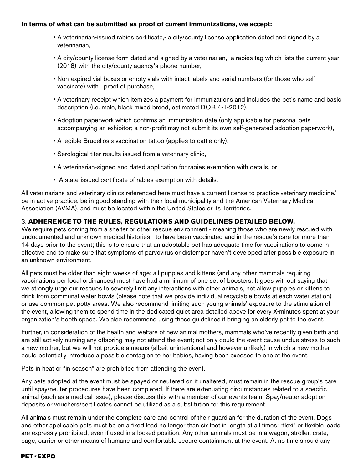#### **In terms of what can be submitted as proof of current immunizations, we accept:**

- A veterinarian-issued rabies certificate,- a city/county license application dated and signed by a veterinarian,
- A city/county license form dated and signed by a veterinarian,- a rabies tag which lists the current year (2018) with the city/county agency's phone number,
- Non-expired vial boxes or empty vials with intact labels and serial numbers (for those who selfvaccinate) with proof of purchase,
- A veterinary receipt which itemizes a payment for immunizations and includes the pet's name and basic description (i.e. male, black mixed breed, estimated DOB 4-1-2012),
- Adoption paperwork which confirms an immunization date (only applicable for personal pets accompanying an exhibitor; a non-profit may not submit its own self-generated adoption paperwork),
- A legible Brucellosis vaccination tattoo (applies to cattle only),
- Serological titer results issued from a veterinary clinic,
- A veterinarian-signed and dated application for rabies exemption with details, or
- A state-issued certificate of rabies exemption with details.

All veterinarians and veterinary clinics referenced here must have a current license to practice veterinary medicine/ be in active practice, be in good standing with their local municipality and the American Veterinary Medical Association (AVMA), and must be located within the United States or its Territories.

#### 3. **ADHERENCE TO THE RULES, REGULATIONS AND GUIDELINES DETAILED BELOW.**

We require pets coming from a shelter or other rescue environment - meaning those who are newly rescued with undocumented and unknown medical histories - to have been vaccinated and in the rescue's care for more than 14 days prior to the event; this is to ensure that an adoptable pet has adequate time for vaccinations to come in effective and to make sure that symptoms of parvovirus or distemper haven't developed after possible exposure in an unknown environment.

All pets must be older than eight weeks of age; all puppies and kittens (and any other mammals requiring vaccinations per local ordinances) must have had a minimum of one set of boosters. It goes without saying that we strongly urge our rescues to severely limit any interactions with other animals, not allow puppies or kittens to drink from communal water bowls (please note that we provide individual recyclable bowls at each water station) or use common pet potty areas. We also recommend limiting such young animals' exposure to the stimulation of the event, allowing them to spend time in the dedicated quiet area detailed above for every X-minutes spent at your organization's booth space. We also recommend using these guidelines if bringing an elderly pet to the event.

Further, in consideration of the health and welfare of new animal mothers, mammals who've recently given birth and are still actively nursing any offspring may not attend the event; not only could the event cause undue stress to such a new mother, but we will not provide a means (albeit unintentional and however unlikely) in which a new mother could potentially introduce a possible contagion to her babies, having been exposed to one at the event.

Pets in heat or "in season" are prohibited from attending the event.

Any pets adopted at the event must be spayed or neutered or, if unaltered, must remain in the rescue group's care until spay/neuter procedures have been completed. If there are extenuating circumstances related to a specific animal (such as a medical issue), please discuss this with a member of our events team. Spay/neuter adoption deposits or vouchers/certificates cannot be utilized as a substitution for this requirement.

All animals must remain under the complete care and control of their guardian for the duration of the event. Dogs and other applicable pets must be on a fixed lead no longer than six feet in length at all times; "flexi" or flexible leads are expressly prohibited, even if used in a locked position. Any other animals must be in a wagon, stroller, crate, cage, carrier or other means of humane and comfortable secure containment at the event. At no time should any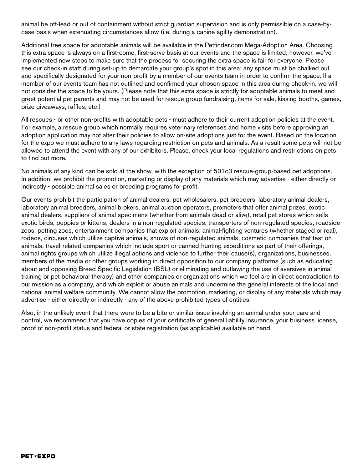animal be off-lead or out of containment without strict guardian supervision and is only permissible on a case-bycase basis when extenuating circumstances allow (i.e. during a canine agility demonstration).

Additional free space for adoptable animals will be available in the Petfinder.com Mega-Adoption Area. Choosing this extra space is always on a first-come, first-serve basis at our events and the space is limited, however, we've implemented new steps to make sure that the process for securing the extra space is fair for everyone. Please see our check-in staff during set-up to demarcate your group's spot in this area; any space must be chalked out and specifically designated for your non-profit by a member of our events team in order to confirm the space. If a member of our events team has not outlined and confirmed your chosen space in this area during check-in, we will not consider the space to be yours. (Please note that this extra space is strictly for adoptable animals to meet and greet potential pet parents and may not be used for rescue group fundraising, items for sale, kissing booths, games, prize giveaways, raffles, etc.)

All rescues - or other non-profits with adoptable pets - must adhere to their current adoption policies at the event. For example, a rescue group which normally requires veterinary references and home visits before approving an adoption application may not alter their policies to allow on-site adoptions just for the event. Based on the location for the expo we must adhere to any laws regarding restriction on pets and animals. As a result some pets will not be allowed to attend the event with any of our exhibitors. Please, check your local regulations and restrictions on pets to find out more.

No animals of any kind can be sold at the show, with the exception of 501c3 rescue-group-based pet adoptions. In addition, we prohibit the promotion, marketing or display of any materials which may advertise - either directly or indirectly - possible animal sales or breeding programs for profit.

Our events prohibit the participation of animal dealers, pet wholesalers, pet breeders, laboratory animal dealers, laboratory animal breeders, animal brokers, animal auction operators, promoters that offer animal prizes, exotic animal dealers, suppliers of animal specimens (whether from animals dead or alive), retail pet stores which sells exotic birds, puppies or kittens, dealers in a non-regulated species, transporters of non-regulated species, roadside zoos, petting zoos, entertainment companies that exploit animals, animal-fighting ventures (whether staged or real), rodeos, circuses which utilize captive animals, shows of non-regulated animals, cosmetic companies that test on animals, travel-related companies which include sport or canned-hunting expeditions as part of their offerings, animal rights groups which utilize illegal actions and violence to further their cause(s), organizations, businesses, members of the media or other groups working in direct opposition to our company platforms (such as educating about and opposing Breed Specific Legislation (BSL) or eliminating and outlawing the use of aversives in animal training or pet behavioral therapy) and other companies or organizations which we feel are in direct contradiction to our mission as a company, and which exploit or abuse animals and undermine the general interests of the local and national animal welfare community. We cannot allow the promotion, marketing, or display of any materials which may advertise - either directly or indirectly - any of the above prohibited types of entities.

Also, in the unlikely event that there were to be a bite or similar issue involving an animal under your care and control, we recommend that you have copies of your certificate of general liability insurance, your business license, proof of non-profit status and federal or state registration (as applicable) available on hand.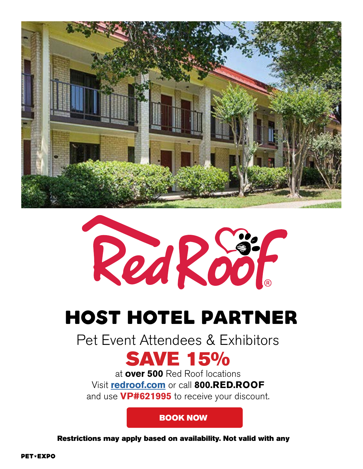

Red Roof

# HOST HOTEL PARTNER

Pet Event Attendees & Exhibitors

# **SAVE 15%**

at **over 500** Red Roof locations Visit **redroof.com** or call **800.RED.ROOF** and use **VP#621995** to receive your discount.

### [BOOK NOW](https://www.redroof.com/partners/amazing_pet_expos/)

Restrictions may apply based on availability. Not valid with any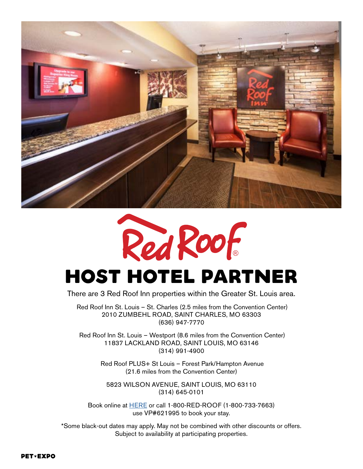



# HOST HOTEL PARTNER

There are 3 Red Roof Inn properties within the Greater St. Louis area.

 Red Roof Inn St. Louis – St. Charles (2.5 miles from the Convention Center) 2010 ZUMBEHL ROAD, SAINT CHARLES, MO 63303 (636) 947-7770

 Red Roof Inn St. Louis – Westport (8.6 miles from the Convention Center) 11837 LACKLAND ROAD, SAINT LOUIS, MO 63146 (314) 991-4900

> Red Roof PLUS+ St Louis – Forest Park/Hampton Avenue (21.6 miles from the Convention Center)

5823 WILSON AVENUE, SAINT LOUIS, MO 63110 (314) 645-0101

Book online at [HERE](https://www.redroof.com/deals/partner/amazing_pet_expos) or call 1-800-RED-ROOF (1-800-733-7663) use VP#621995 to book your stay.

\*Some black-out dates may apply. May not be combined with other discounts or offers. Subject to availability at participating properties.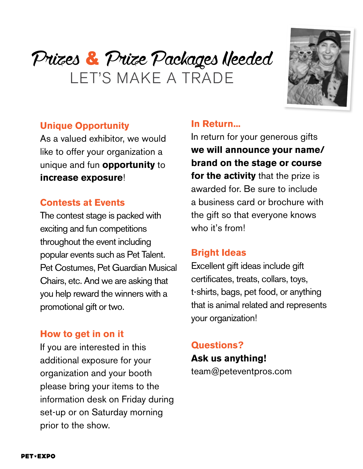# Prizes & Prize Packages Needed LET'S MAKE A TRADE



## **Unique Opportunity**

As a valued exhibitor, we would like to offer your organization a unique and fun **opportunity** to **increase exposure**!

## **Contests at Events**

The contest stage is packed with exciting and fun competitions throughout the event including popular events such as Pet Talent. Pet Costumes, Pet Guardian Musical Chairs, etc. And we are asking that you help reward the winners with a promotional gift or two.

## **How to get in on it**

If you are interested in this additional exposure for your organization and your booth please bring your items to the information desk on Friday during set-up or on Saturday morning prior to the show.

## **In Return...**

In return for your generous gifts **we will announce your name/ brand on the stage or course for the activity** that the prize is awarded for. Be sure to include a business card or brochure with the gift so that everyone knows who it's from!

## **Bright Ideas**

Excellent gift ideas include gift certificates, treats, collars, toys, t-shirts, bags, pet food, or anything that is animal related and represents your organization!

## **Questions? Ask us anything!**

team@peteventpros.com